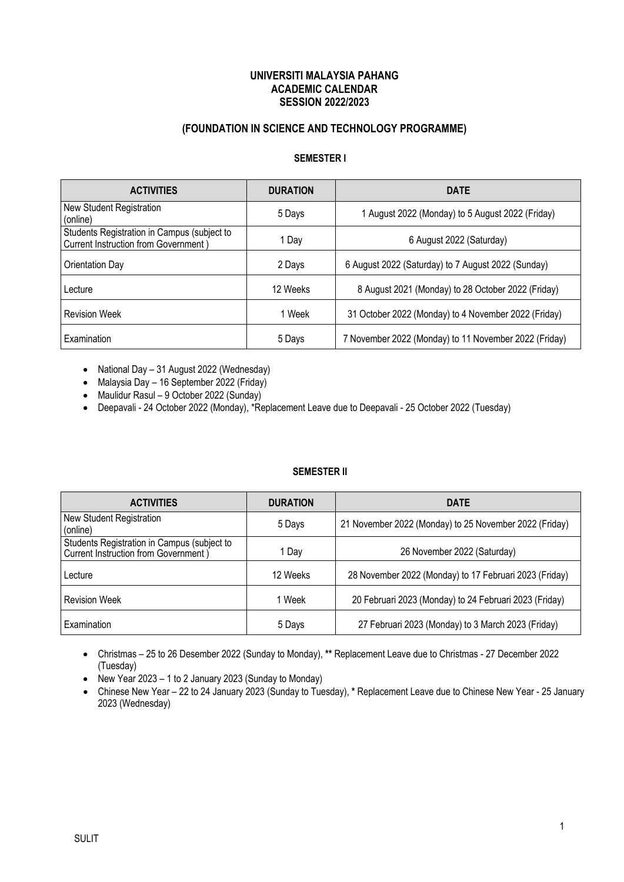## **UNIVERSITI MALAYSIA PAHANG ACADEMIC CALENDAR SESSION 2022/2023**

## **(FOUNDATION IN SCIENCE AND TECHNOLOGY PROGRAMME)**

## **SEMESTER I**

| <b>ACTIVITIES</b>                                                                          | <b>DURATION</b> | <b>DATE</b>                                           |
|--------------------------------------------------------------------------------------------|-----------------|-------------------------------------------------------|
| New Student Registration<br>(online)                                                       | 5 Days          | 1 August 2022 (Monday) to 5 August 2022 (Friday)      |
| Students Registration in Campus (subject to<br><b>Current Instruction from Government)</b> | 1 Day           | 6 August 2022 (Saturday)                              |
| Orientation Day                                                                            | 2 Days          | 6 August 2022 (Saturday) to 7 August 2022 (Sunday)    |
| Lecture                                                                                    | 12 Weeks        | 8 August 2021 (Monday) to 28 October 2022 (Friday)    |
| <b>Revision Week</b>                                                                       | 1 Week          | 31 October 2022 (Monday) to 4 November 2022 (Friday)  |
| Examination                                                                                | 5 Days          | 7 November 2022 (Monday) to 11 November 2022 (Friday) |

• National Day – 31 August 2022 (Wednesday)

• Malaysia Day – 16 September 2022 (Friday)

• Maulidur Rasul – 9 October 2022 (Sunday)

• Deepavali - 24 October 2022 (Monday), \*Replacement Leave due to Deepavali - 25 October 2022 (Tuesday)

### **SEMESTER II**

| <b>ACTIVITIES</b>                                                                   | <b>DURATION</b> | <b>DATE</b>                                            |
|-------------------------------------------------------------------------------------|-----------------|--------------------------------------------------------|
| <b>New Student Registration</b><br>(online)                                         | 5 Days          | 21 November 2022 (Monday) to 25 November 2022 (Friday) |
| Students Registration in Campus (subject to<br>Current Instruction from Government) | 1 Dav           | 26 November 2022 (Saturday)                            |
| Lecture                                                                             | 12 Weeks        | 28 November 2022 (Monday) to 17 Februari 2023 (Friday) |
| <b>Revision Week</b>                                                                | Week            | 20 Februari 2023 (Monday) to 24 Februari 2023 (Friday) |
| Examination                                                                         | 5 Days          | 27 Februari 2023 (Monday) to 3 March 2023 (Friday)     |

• Christmas – 25 to 26 Desember 2022 (Sunday to Monday), **\*\*** Replacement Leave due to Christmas - 27 December 2022 (Tuesday)

• New Year 2023 – 1 to 2 January 2023 (Sunday to Monday)

• Chinese New Year – 22 to 24 January 2023 (Sunday to Tuesday), **\*** Replacement Leave due to Chinese New Year - 25 January 2023 (Wednesday)